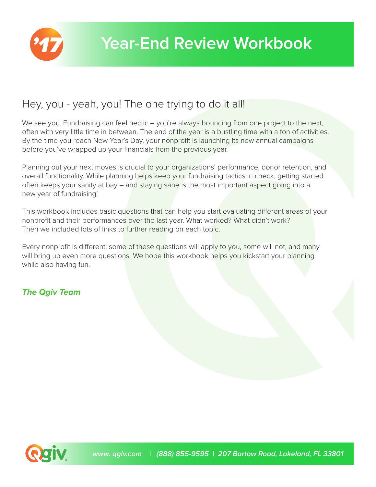

## Hey, you - yeah, you! The one trying to do it all!

We see you. Fundraising can feel hectic – you're always bouncing from one project to the next, often with very little time in between. The end of the year is a bustling time with a ton of activities. By the time you reach New Year's Day, your nonprofit is launching its new annual campaigns before you've wrapped up your financials from the previous year.

Planning out your next moves is crucial to your organizations' performance, donor retention, and overall functionality. While planning helps keep your fundraising tactics in check, getting started often keeps your sanity at bay – and staying sane is the most important aspect going into a new year of fundraising!

This workbook includes basic questions that can help you start evaluating different areas of your nonprofit and their performances over the last year. What worked? What didn't work? Then we included lots of links to further reading on each topic.

Every nonprofit is different; some of these questions will apply to you, some will not, and many will bring up even more questions. We hope this workbook helps you kickstart your planning while also having fun.

## **The Qgiv Team**

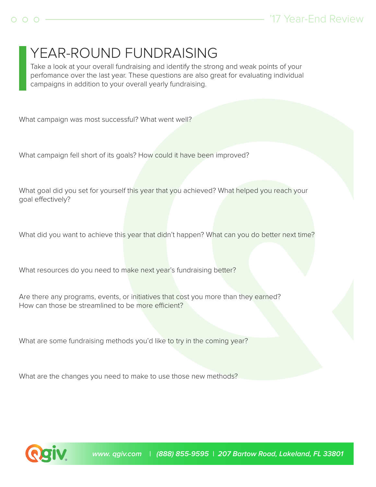# YEAR-ROUND FUNDRAISING

 Take a look at your overall fundraising and identify the strong and weak points of your perfomance over the last year. These questions are also great for evaluating individual campaigns in addition to your overall yearly fundraising.

What campaign was most successful? What went well?

What campaign fell short of its goals? How could it have been improved?

What goal did you set for yourself this year that you achieved? What helped you reach your goal effectively?

What did you want to achieve this year that didn't happen? What can you do better next time?

What resources do you need to make next year's fundraising better?

Are there any programs, events, or initiatives that cost you more than they earned? How can those be streamlined to be more efficient?

What are some fundraising methods you'd like to try in the coming year?

What are the changes you need to make to use those new methods?

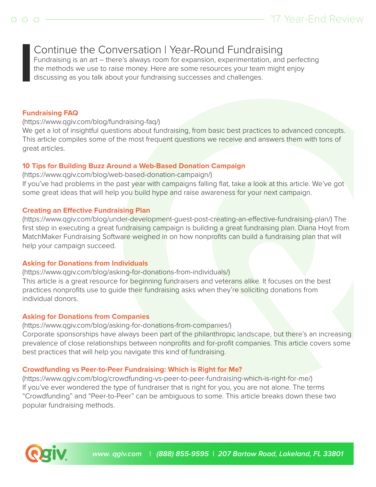## Continue the Conversation | Year-Round Fundraising

 Fundraising is an art – there's always room for expansion, experimentation, and perfecting the methods we use to raise money. Here are some resources your team might enjoy discussing as you talk about your fundraising successes and challenges.

#### **Fundraising FAQ**

(https://www.qgiv.com/blog/fundraising-faq/)

We get a lot of insightful questions about fundraising, from basic best practices to advanced concepts. This article compiles some of the most frequent questions we receive and answers them with tons of great articles.

#### **10 Tips for Building Buzz Around a Web-Based Donation Campaign**

(https://www.qgiv.com/blog/web-based-donation-campaign/)

If you've had problems in the past year with campaigns falling flat, take a look at this article. We've got some great ideas that will help you build hype and raise awareness for your next campaign.

#### **Creating an Effective Fundraising Plan**

(https://www.qgiv.com/blog/under-development-guest-post-creating-an-effective-fundraising-plan/) The first step in executing a great fundraising campaign is building a great fundraising plan. Diana Hoyt from MatchMaker Fundraising Software weighed in on how nonprofits can build a fundraising plan that will help your campaign succeed.

#### **Asking for Donations from Individuals**

(https://www.qgiv.com/blog/asking-for-donations-from-individuals/) This article is a great resource for beginning fundraisers and veterans alike. It focuses on the best practices nonprofits use to guide their fundraising asks when they're soliciting donations from individual donors.

#### **Asking for Donations from Companies**

(https://www.qgiv.com/blog/asking-for-donations-from-companies/)

Corporate sponsorships have always been part of the philanthropic landscape, but there's an increasing prevalence of close relationships between nonprofits and for-profit companies. This article covers some best practices that will help you navigate this kind of fundraising.

#### **Crowdfunding vs Peer-to-Peer Fundraising: Which is Right for Me?**

(https://www.qgiv.com/blog/crowdfunding-vs-peer-to-peer-fundraising-which-is-right-for-me/) If you've ever wondered the type of fundraiser that is right for you, you are not alone. The terms "Crowdfunding" and "Peer-to-Peer" can be ambiguous to some. This article breaks down these two popular fundraising methods.

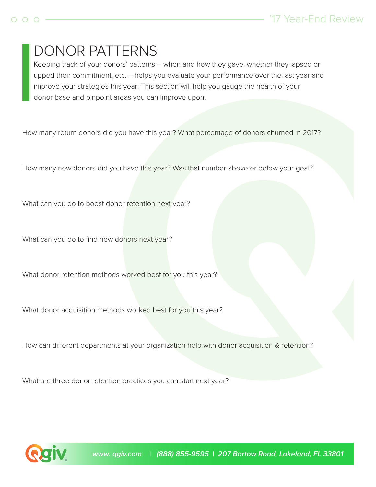# DONOR PATTERNS

 Keeping track of your donors' patterns – when and how they gave, whether they lapsed or upped their commitment, etc. – helps you evaluate your performance over the last year and improve your strategies this year! This section will help you gauge the health of your donor base and pinpoint areas you can improve upon.

How many return donors did you have this year? What percentage of donors churned in 2017?

How many new donors did you have this year? Was that number above or below your goal?

What can you do to boost donor retention next year?

What can you do to find new donors next year?

What donor retention methods worked best for you this year?

What donor acquisition methods worked best for you this year?

How can different departments at your organization help with donor acquisition & retention?

What are three donor retention practices you can start next year?

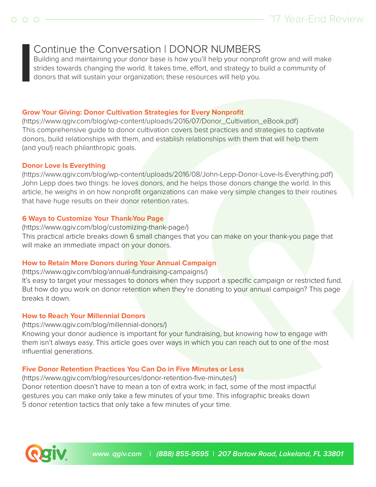## Continue the Conversation | DONOR NUMBERS

 Building and maintaining your donor base is how you'll help your nonprofit grow and will make strides towards changing the world. It takes time, effort, and strategy to build a community of donors that will sustain your organization; these resources will help you.

#### **Grow Your Giving: Donor Cultivation Strategies for Every Nonprofit**

(https://www.qgiv.com/blog/wp-content/uploads/2016/07/Donor\_Cultivation\_eBook.pdf) This comprehensive guide to donor cultivation covers best practices and strategies to captivate donors, build relationships with them, and establish relationships with them that will help them (and you!) reach philanthropic goals.

#### **Donor Love Is Everything**

(https://www.qgiv.com/blog/wp-content/uploads/2016/08/John-Lepp-Donor-Love-Is-Everything.pdf) John Lepp does two things: he loves donors, and he helps those donors change the world. In this article, he weighs in on how nonprofit organizations can make very simple changes to their routines that have huge results on their donor retention rates.

### **6 Ways to Customize Your Thank-You Page**

(https://www.qgiv.com/blog/customizing-thank-page/) This practical article breaks down 6 small changes that you can make on your thank-you page that will make an immediate impact on your donors.

### **How to Retain More Donors during Your Annual Campaign**

(https://www.qgiv.com/blog/annual-fundraising-campaigns/)

It's easy to target your messages to donors when they support a specific campaign or restricted fund. But how do you work on donor retention when they're donating to your annual campaign? This page breaks it down.

### **How to Reach Your Millennial Donors**

(https://www.qgiv.com/blog/millennial-donors/)

Knowing your donor audience is important for your fundraising, but knowing how to engage with them isn't always easy. This article goes over ways in which you can reach out to one of the most influential generations.

### **Five Donor Retention Practices You Can Do in Five Minutes or Less**

(https://www.qgiv.com/blog/resources/donor-retention-five-minutes/) Donor retention doesn't have to mean a ton of extra work; in fact, some of the most impactful gestures you can make only take a few minutes of your time. This infographic breaks down 5 donor retention tactics that only take a few minutes of your time.

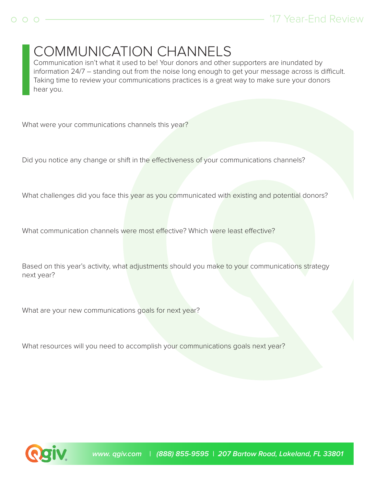

 Communication isn't what it used to be! Your donors and other supporters are inundated by information 24/7 – standing out from the noise long enough to get your message across is difficult. Taking time to review your communications practices is a great way to make sure your donors hear you.

What were your communications channels this year?

Did you notice any change or shift in the effectiveness of your communications channels?

What challenges did you face this year as you communicated with existing and potential donors?

What communication channels were most effective? Which were least effective?

Based on this year's activity, what adjustments should you make to your communications strategy next year?

What are your new communications goals for next year?

What resources will you need to accomplish your communications goals next year?

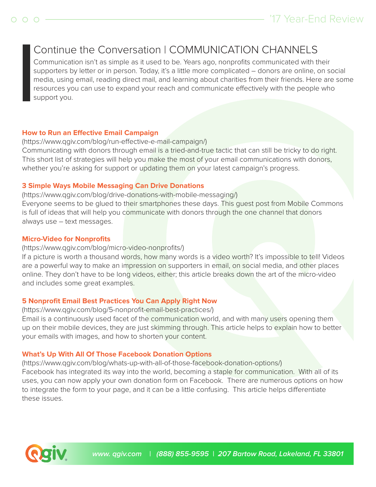## Continue the Conversation | COMMUNICATION CHANNELS

 Communication isn't as simple as it used to be. Years ago, nonprofits communicated with their supporters by letter or in person. Today, it's a little more complicated - donors are online, on social media, using email, reading direct mail, and learning about charities from their friends. Here are some resources you can use to expand your reach and communicate effectively with the people who support you.

### **How to Run an Effective Email Campaign**

(https://www.qgiv.com/blog/run-effective-e-mail-campaign/) Communicating with donors through email is a tried-and-true tactic that can still be tricky to do right. This short list of strategies will help you make the most of your email communications with donors, whether you're asking for support or updating them on your latest campaign's progress.

## **3 Simple Ways Mobile Messaging Can Drive Donations**

(https://www.qgiv.com/blog/drive-donations-with-mobile-messaging/) Everyone seems to be glued to their smartphones these days. This guest post from Mobile Commons is full of ideas that will help you communicate with donors through the one channel that donors always use – text messages.

## **Micro-Video for Nonprofits**

### (https://www.qgiv.com/blog/micro-video-nonprofits/)

If a picture is worth a thousand words, how many words is a video worth? It's impossible to tell! Videos are a powerful way to make an impression on supporters in email, on social media, and other places online. They don't have to be long videos, either; this article breaks down the art of the micro-video and includes some great examples.

## **5 Nonprofit Email Best Practices You Can Apply Right Now**

(https://www.qgiv.com/blog/5-nonprofit-email-best-practices/)

Email is a continuously used facet of the communication world, and with many users opening them up on their mobile devices, they are just skimming through. This article helps to explain how to better your emails with images, and how to shorten your content.

## **What's Up With All Of Those Facebook Donation Options**

(https://www.qgiv.com/blog/whats-up-with-all-of-those-facebook-donation-options/)

Facebook has integrated its way into the world, becoming a staple for communication. With all of its uses, you can now apply your own donation form on Facebook. There are numerous options on how to integrate the form to your page, and it can be a little confusing. This article helps differentiate these issues.

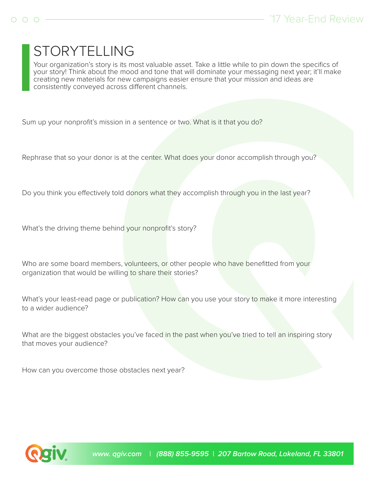# $STORYTELLING$

 Your organization's story is its most valuable asset. Take a little while to pin down the specifics of your story! Think about the mood and tone that will dominate your messaging next year; it'll make creating new materials for new campaigns easier ensure that your mission and ideas are consistently conveyed across different channels.

Sum up your nonprofit's mission in a sentence or two. What is it that you do?

Rephrase that so your donor is at the center. What does your donor accomplish through you?

Do you think you effectively told donors what they accomplish through you in the last year?

What's the driving theme behind your nonprofit's story?

Who are some board members, volunteers, or other people who have benefitted from your organization that would be willing to share their stories?

What's your least-read page or publication? How can you use your story to make it more interesting to a wider audience?

What are the biggest obstacles you've faced in the past when you've tried to tell an inspiring story that moves your audience?

How can you overcome those obstacles next year?

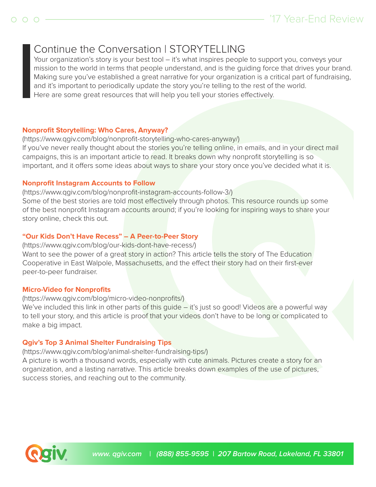## Continue the Conversation | STORYTELLING

Your organization's story is your best tool - it's what inspires people to support you, conveys your mission to the world in terms that people understand, and is the guiding force that drives your brand. Making sure you've established a great narrative for your organization is a critical part of fundraising, and it's important to periodically update the story you're telling to the rest of the world. Here are some great resources that will help you tell your stories effectively.

## **Nonprofit Storytelling: Who Cares, Anyway?**

(https://www.qgiv.com/blog/nonprofit-storytelling-who-cares-anyway/) If you've never really thought about the stories you're telling online, in emails, and in your direct mail campaigns, this is an important article to read. It breaks down why nonprofit storytelling is so important, and it offers some ideas about ways to share your story once you've decided what it is.

## **Nonprofit Instagram Accounts to Follow**

(https://www.qgiv.com/blog/nonprofit-instagram-accounts-follow-3/) Some of the best stories are told most effectively through photos. This resource rounds up some of the best nonprofit Instagram accounts around; if you're looking for inspiring ways to share your story online, check this out.

## **"Our Kids Don't Have Recess" – A Peer-to-Peer Story**

(https://www.qgiv.com/blog/our-kids-dont-have-recess/) Want to see the power of a great story in action? This article tells the story of The Education Cooperative in East Walpole, Massachusetts, and the effect their story had on their first-ever peer-to-peer fundraiser.

### **Micro-Video for Nonprofits**

### (https://www.qgiv.com/blog/micro-video-nonprofits/)

We've included this link in other parts of this guide – it's just so good! Videos are a powerful way to tell your story, and this article is proof that your videos don't have to be long or complicated to make a big impact.

## **Qgiv's Top 3 Animal Shelter Fundraising Tips**

(https://www.qgiv.com/blog/animal-shelter-fundraising-tips/)

A picture is worth a thousand words, especially with cute animals. Pictures create a story for an organization, and a lasting narrative. This article breaks down examples of the use of pictures, success stories, and reaching out to the community.

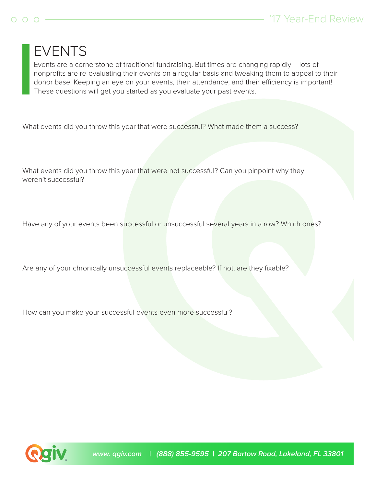## $O$   $O$   $O$

## '17 Year-End Review

# '17 **Year-End Review Workbook** EVENTS

 Events are a cornerstone of traditional fundraising. But times are changing rapidly – lots of nonprofits are re-evaluating their events on a regular basis and tweaking them to appeal to their donor base. Keeping an eye on your events, their attendance, and their efficiency is important! These questions will get you started as you evaluate your past events.

What events did you throw this year that were successful? What made them a success?

What events did you throw this year that were not successful? Can you pinpoint why they weren't successful?

Have any of your events been successful or unsuccessful several years in a row? Which ones?

Are any of your chronically unsuccessful events replaceable? If not, are they fixable?

How can you make your successful events even more successful?

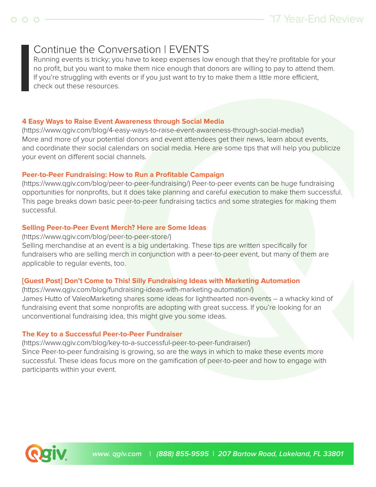## Continue the Conversation | EVENTS

 Running events is tricky; you have to keep expenses low enough that they're profitable for your no profit, but you want to make them nice enough that donors are willing to pay to attend them. If you're struggling with events or if you just want to try to make them a little more efficient, check out these resources.

### **4 Easy Ways to Raise Event Awareness through Social Media**

(https://www.qgiv.com/blog/4-easy-ways-to-raise-event-awareness-through-social-media/) More and more of your potential donors and event attendees get their news, learn about events, and coordinate their social calendars on social media. Here are some tips that will help you publicize your event on different social channels.

## **Peer-to-Peer Fundraising: How to Run a Profitable Campaign**

(https://www.qgiv.com/blog/peer-to-peer-fundraising/) Peer-to-peer events can be huge fundraising opportunities for nonprofits, but it does take planning and careful execution to make them successful. This page breaks down basic peer-to-peer fundraising tactics and some strategies for making them successful.

## **Selling Peer-to-Peer Event Merch? Here are Some Ideas**

(https://www.qgiv.com/blog/peer-to-peer-store/) Selling merchandise at an event is a big undertaking. These tips are written specifically for fundraisers who are selling merch in conjunction with a peer-to-peer event, but many of them are applicable to regular events, too.

## **[Guest Post] Don't Come to This! Silly Fundraising Ideas with Marketing Automation**

(https://www.qgiv.com/blog/fundraising-ideas-with-marketing-automation/) James Hutto of ValeoMarketing shares some ideas for lighthearted non-events – a whacky kind of fundraising event that some nonprofits are adopting with great success. If you're looking for an unconventional fundraising idea, this might give you some ideas.

## **The Key to a Successful Peer-to-Peer Fundraiser**

(https://www.qgiv.com/blog/key-to-a-successful-peer-to-peer-fundraiser/) Since Peer-to-peer fundraising is growing, so are the ways in which to make these events more successful. These ideas focus more on the gamification of peer-to-peer and how to engage with participants within your event.

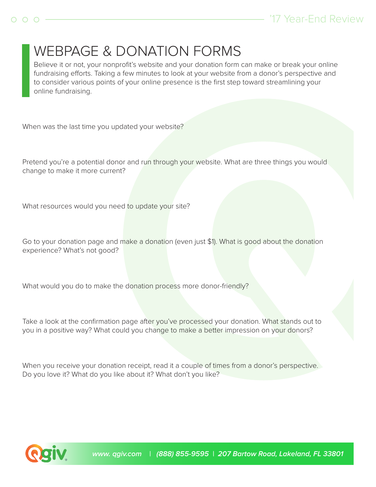# WEBPAGE & DONATION FORMS

 Believe it or not, your nonprofit's website and your donation form can make or break your online fundraising efforts. Taking a few minutes to look at your website from a donor's perspective and to consider various points of your online presence is the first step toward streamlining your online fundraising.

When was the last time you updated your website?

Pretend you're a potential donor and run through your website. What are three things you would change to make it more current?

What resources would you need to update your site?

Go to your donation page and make a donation (even just \$1). What is good about the donation experience? What's not good?

What would you do to make the donation process more donor-friendly?

Take a look at the confirmation page after you've processed your donation. What stands out to you in a positive way? What could you change to make a better impression on your donors?

When you receive your donation receipt, read it a couple of times from a donor's perspective. Do you love it? What do you like about it? What don't you like?

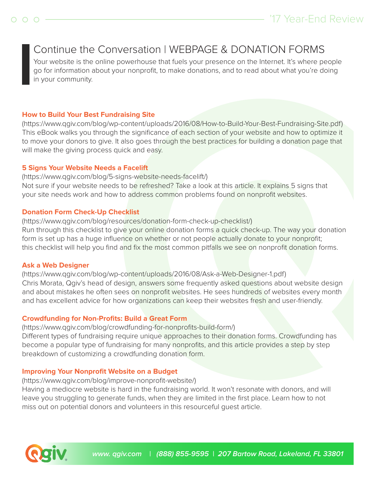## Continue the Conversation | WEBPAGE & DONATION FORMS

Your website is the online powerhouse that fuels your presence on the Internet. It's where people go for information about your nonprofit, to make donations, and to read about what you're doing in your community.

## **How to Build Your Best Fundraising Site**

(https://www.qgiv.com/blog/wp-content/uploads/2016/08/How-to-Build-Your-Best-Fundraising-Site.pdf) This eBook walks you through the significance of each section of your website and how to optimize it to move your donors to give. It also goes through the best practices for building a donation page that will make the giving process quick and easy.

## **5 Signs Your Website Needs a Facelift**

(https://www.qgiv.com/blog/5-signs-website-needs-facelift/) Not sure if your website needs to be refreshed? Take a look at this article. It explains 5 signs that your site needs work and how to address common problems found on nonprofit websites.

## **Donation Form Check-Up Checklist**

(https://www.qgiv.com/blog/resources/donation-form-check-up-checklist/) Run through this checklist to give your online donation forms a quick check-up. The way your donation form is set up has a huge influence on whether or not people actually donate to your nonprofit; this checklist will help you find and fix the most common pitfalls we see on nonprofit donation forms.

### **Ask a Web Designer**

(https://www.qgiv.com/blog/wp-content/uploads/2016/08/Ask-a-Web-Designer-1.pdf) Chris Morata, Qgiv's head of design, answers some frequently asked questions about website design and about mistakes he often sees on nonprofit websites. He sees hundreds of websites every month and has excellent advice for how organizations can keep their websites fresh and user-friendly.

## **Crowdfunding for Non-Profits: Build a Great Form**

(https://www.qgiv.com/blog/crowdfunding-for-nonprofits-build-form/) Different types of fundraising require unique approaches to their donation forms. Crowdfunding has become a popular type of fundraising for many nonprofits, and this article provides a step by step breakdown of customizing a crowdfunding donation form.

## **Improving Your Nonprofit Website on a Budget**

(https://www.qgiv.com/blog/improve-nonprofit-website/)

Having a mediocre website is hard in the fundraising world. It won't resonate with donors, and will leave you struggling to generate funds, when they are limited in the first place. Learn how to not miss out on potential donors and volunteers in this resourceful guest article.